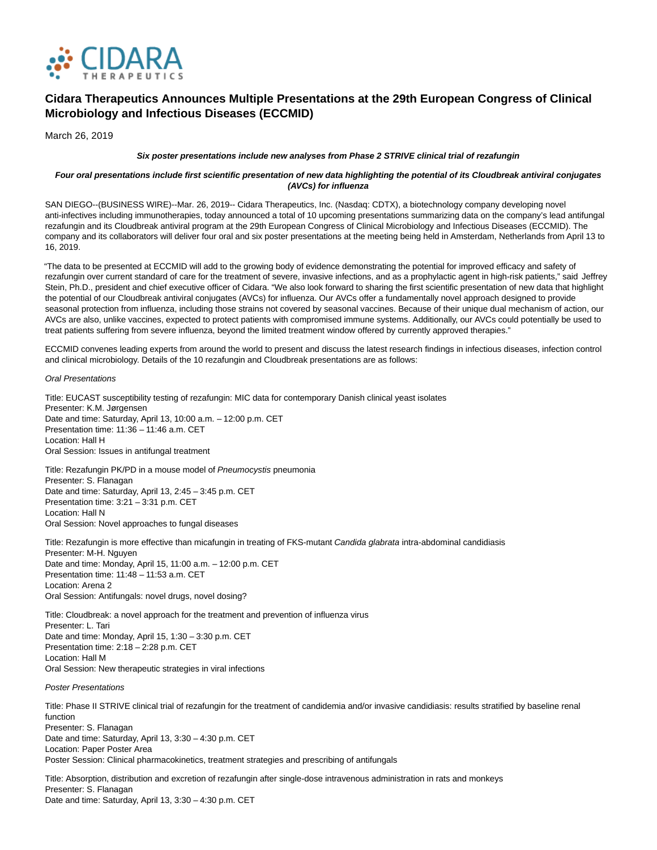

# **Cidara Therapeutics Announces Multiple Presentations at the 29th European Congress of Clinical Microbiology and Infectious Diseases (ECCMID)**

March 26, 2019

### **Six poster presentations include new analyses from Phase 2 STRIVE clinical trial of rezafungin**

## **Four oral presentations include first scientific presentation of new data highlighting the potential of its Cloudbreak antiviral conjugates (AVCs) for influenza**

SAN DIEGO--(BUSINESS WIRE)--Mar. 26, 2019-- Cidara Therapeutics, Inc. (Nasdaq: CDTX), a biotechnology company developing novel anti-infectives including immunotherapies, today announced a total of 10 upcoming presentations summarizing data on the company's lead antifungal rezafungin and its Cloudbreak antiviral program at the 29th European Congress of Clinical Microbiology and Infectious Diseases (ECCMID). The company and its collaborators will deliver four oral and six poster presentations at the meeting being held in Amsterdam, Netherlands from April 13 to 16, 2019.

"The data to be presented at ECCMID will add to the growing body of evidence demonstrating the potential for improved efficacy and safety of rezafungin over current standard of care for the treatment of severe, invasive infections, and as a prophylactic agent in high-risk patients," said Jeffrey Stein, Ph.D., president and chief executive officer of Cidara. "We also look forward to sharing the first scientific presentation of new data that highlight the potential of our Cloudbreak antiviral conjugates (AVCs) for influenza. Our AVCs offer a fundamentally novel approach designed to provide seasonal protection from influenza, including those strains not covered by seasonal vaccines. Because of their unique dual mechanism of action, our AVCs are also, unlike vaccines, expected to protect patients with compromised immune systems. Additionally, our AVCs could potentially be used to treat patients suffering from severe influenza, beyond the limited treatment window offered by currently approved therapies."

ECCMID convenes leading experts from around the world to present and discuss the latest research findings in infectious diseases, infection control and clinical microbiology. Details of the 10 rezafungin and Cloudbreak presentations are as follows:

Oral Presentations

Title: EUCAST susceptibility testing of rezafungin: MIC data for contemporary Danish clinical yeast isolates Presenter: K.M. Jørgensen Date and time: Saturday, April 13, 10:00 a.m. – 12:00 p.m. CET Presentation time: 11:36 – 11:46 a.m. CET Location: Hall H Oral Session: Issues in antifungal treatment

Title: Rezafungin PK/PD in a mouse model of Pneumocystis pneumonia Presenter: S. Flanagan Date and time: Saturday, April 13, 2:45 – 3:45 p.m. CET Presentation time: 3:21 – 3:31 p.m. CET Location: Hall N Oral Session: Novel approaches to fungal diseases

Title: Rezafungin is more effective than micafungin in treating of FKS-mutant Candida glabrata intra-abdominal candidiasis Presenter: M-H. Nguyen Date and time: Monday, April 15, 11:00 a.m. – 12:00 p.m. CET Presentation time: 11:48 – 11:53 a.m. CET Location: Arena 2 Oral Session: Antifungals: novel drugs, novel dosing?

Title: Cloudbreak: a novel approach for the treatment and prevention of influenza virus Presenter: L. Tari Date and time: Monday, April 15, 1:30 – 3:30 p.m. CET Presentation time: 2:18 – 2:28 p.m. CET Location: Hall M Oral Session: New therapeutic strategies in viral infections

#### Poster Presentations

Title: Phase II STRIVE clinical trial of rezafungin for the treatment of candidemia and/or invasive candidiasis: results stratified by baseline renal function Presenter: S. Flanagan Date and time: Saturday, April 13, 3:30 – 4:30 p.m. CET Location: Paper Poster Area Poster Session: Clinical pharmacokinetics, treatment strategies and prescribing of antifungals

Title: Absorption, distribution and excretion of rezafungin after single-dose intravenous administration in rats and monkeys Presenter: S. Flanagan Date and time: Saturday, April 13, 3:30 – 4:30 p.m. CET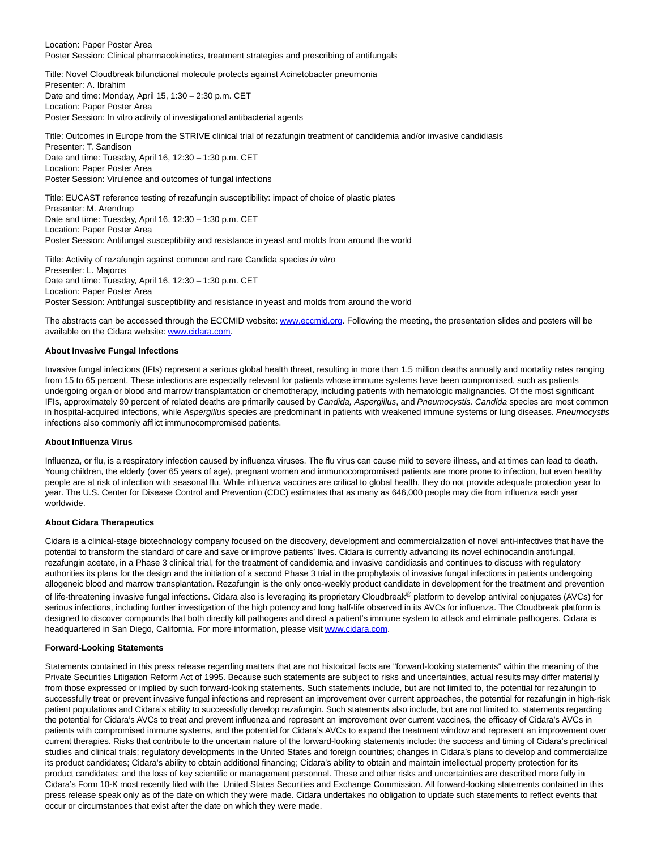Location: Paper Poster Area Poster Session: Clinical pharmacokinetics, treatment strategies and prescribing of antifungals

Title: Novel Cloudbreak bifunctional molecule protects against Acinetobacter pneumonia Presenter: A. Ibrahim Date and time: Monday, April 15, 1:30 – 2:30 p.m. CET Location: Paper Poster Area Poster Session: In vitro activity of investigational antibacterial agents

Title: Outcomes in Europe from the STRIVE clinical trial of rezafungin treatment of candidemia and/or invasive candidiasis

Presenter: T. Sandison Date and time: Tuesday, April 16, 12:30 – 1:30 p.m. CET Location: Paper Poster Area Poster Session: Virulence and outcomes of fungal infections

Title: EUCAST reference testing of rezafungin susceptibility: impact of choice of plastic plates Presenter: M. Arendrup Date and time: Tuesday, April 16, 12:30 – 1:30 p.m. CET Location: Paper Poster Area Poster Session: Antifungal susceptibility and resistance in yeast and molds from around the world

Title: Activity of rezafungin against common and rare Candida species in vitro Presenter: L. Majoros Date and time: Tuesday, April 16, 12:30 – 1:30 p.m. CET Location: Paper Poster Area Poster Session: Antifungal susceptibility and resistance in yeast and molds from around the world

The abstracts can be accessed through the ECCMID website[: www.eccmid.org.](https://cts.businesswire.com/ct/CT?id=smartlink&url=http%3A%2F%2Fwww.eccmid.org&esheet=51959559&newsitemid=20190326005154&lan=en-US&anchor=www.eccmid.org&index=1&md5=b9f996de4973f3d282eeec7a41c0dcdc) Following the meeting, the presentation slides and posters will be available on the Cidara website: [www.cidara.com.](https://cts.businesswire.com/ct/CT?id=smartlink&url=http%3A%2F%2Fwww.cidara.com&esheet=51959559&newsitemid=20190326005154&lan=en-US&anchor=www.cidara.com&index=2&md5=7df6603e3b18e8581c07ebb240453de2)

## **About Invasive Fungal Infections**

Invasive fungal infections (IFIs) represent a serious global health threat, resulting in more than 1.5 million deaths annually and mortality rates ranging from 15 to 65 percent. These infections are especially relevant for patients whose immune systems have been compromised, such as patients undergoing organ or blood and marrow transplantation or chemotherapy, including patients with hematologic malignancies. Of the most significant IFIs, approximately 90 percent of related deaths are primarily caused by Candida, Aspergillus, and Pneumocystis. Candida species are most common in hospital-acquired infections, while Aspergillus species are predominant in patients with weakened immune systems or lung diseases. Pneumocystis infections also commonly afflict immunocompromised patients.

#### **About Influenza Virus**

Influenza, or flu, is a respiratory infection caused by influenza viruses. The flu virus can cause mild to severe illness, and at times can lead to death. Young children, the elderly (over 65 years of age), pregnant women and immunocompromised patients are more prone to infection, but even healthy people are at risk of infection with seasonal flu. While influenza vaccines are critical to global health, they do not provide adequate protection year to year. The U.S. Center for Disease Control and Prevention (CDC) estimates that as many as 646,000 people may die from influenza each year worldwide.

#### **About Cidara Therapeutics**

Cidara is a clinical-stage biotechnology company focused on the discovery, development and commercialization of novel anti-infectives that have the potential to transform the standard of care and save or improve patients' lives. Cidara is currently advancing its novel echinocandin antifungal, rezafungin acetate, in a Phase 3 clinical trial, for the treatment of candidemia and invasive candidiasis and continues to discuss with regulatory authorities its plans for the design and the initiation of a second Phase 3 trial in the prophylaxis of invasive fungal infections in patients undergoing allogeneic blood and marrow transplantation. Rezafungin is the only once-weekly product candidate in development for the treatment and prevention of life-threatening invasive fungal infections. Cidara also is leveraging its proprietary Cloudbreak® platform to develop antiviral conjugates (AVCs) for serious infections, including further investigation of the high potency and long half-life observed in its AVCs for influenza. The Cloudbreak platform is designed to discover compounds that both directly kill pathogens and direct a patient's immune system to attack and eliminate pathogens. Cidara is headquartered in San Diego, California. For more information, please visi[t www.cidara.com.](https://cts.businesswire.com/ct/CT?id=smartlink&url=http%3A%2F%2Fwww.cidara.com&esheet=51959559&newsitemid=20190326005154&lan=en-US&anchor=www.cidara.com&index=3&md5=be341200677adddfb06647088c48acf9)

#### **Forward-Looking Statements**

Statements contained in this press release regarding matters that are not historical facts are "forward-looking statements" within the meaning of the Private Securities Litigation Reform Act of 1995. Because such statements are subject to risks and uncertainties, actual results may differ materially from those expressed or implied by such forward-looking statements. Such statements include, but are not limited to, the potential for rezafungin to successfully treat or prevent invasive fungal infections and represent an improvement over current approaches, the potential for rezafungin in high-risk patient populations and Cidara's ability to successfully develop rezafungin. Such statements also include, but are not limited to, statements regarding the potential for Cidara's AVCs to treat and prevent influenza and represent an improvement over current vaccines, the efficacy of Cidara's AVCs in patients with compromised immune systems, and the potential for Cidara's AVCs to expand the treatment window and represent an improvement over current therapies. Risks that contribute to the uncertain nature of the forward-looking statements include: the success and timing of Cidara's preclinical studies and clinical trials; regulatory developments in the United States and foreign countries; changes in Cidara's plans to develop and commercialize its product candidates; Cidara's ability to obtain additional financing; Cidara's ability to obtain and maintain intellectual property protection for its product candidates; and the loss of key scientific or management personnel. These and other risks and uncertainties are described more fully in Cidara's Form 10-K most recently filed with the United States Securities and Exchange Commission. All forward-looking statements contained in this press release speak only as of the date on which they were made. Cidara undertakes no obligation to update such statements to reflect events that occur or circumstances that exist after the date on which they were made.